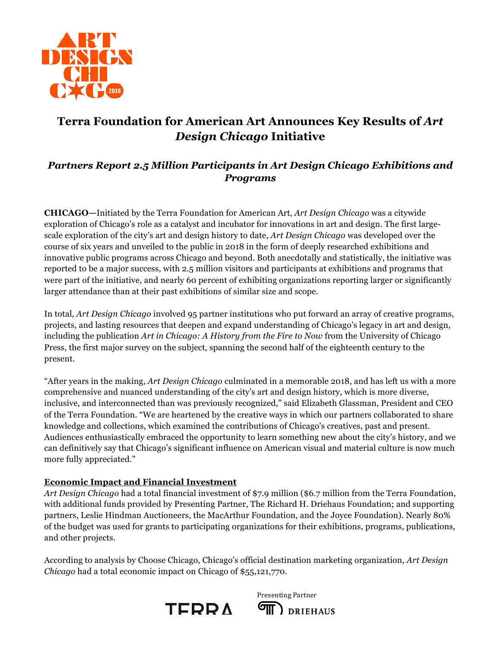

# **Terra Foundation for American Art Announces Key Results of** *Art Design Chicago* **Initiative**

## *Partners Report 2.5 Million Participants in Art Design Chicago Exhibitions and Programs*

**CHICAGO—**Initiated by the Terra Foundation for American Art, *Art Design Chicago* was a citywide exploration of Chicago's role as a catalyst and incubator for innovations in art and design. The first largescale exploration of the city's art and design history to date, *Art Design Chicago* was developed over the course of six years and unveiled to the public in 2018 in the form of deeply researched exhibitions and innovative public programs across Chicago and beyond. Both anecdotally and statistically, the initiative was reported to be a major success, with 2.5 million visitors and participants at exhibitions and programs that were part of the initiative, and nearly 60 percent of exhibiting organizations reporting larger or significantly larger attendance than at their past exhibitions of similar size and scope.

In total, *Art Design Chicago* involved 95 partner institutions who put forward an array of creative programs, projects, and lasting resources that deepen and expand understanding of Chicago's legacy in art and design, including the publication *Art in Chicago: A History from the Fire to Now* from the University of Chicago Press, the first major survey on the subject, spanning the second half of the eighteenth century to the present.

"After years in the making, *Art Design Chicago* culminated in a memorable 2018, and has left us with a more comprehensive and nuanced understanding of the city's art and design history, which is more diverse, inclusive, and interconnected than was previously recognized," said Elizabeth Glassman, President and CEO of the Terra Foundation. "We are heartened by the creative ways in which our partners collaborated to share knowledge and collections, which examined the contributions of Chicago's creatives, past and present. Audiences enthusiastically embraced the opportunity to learn something new about the city's history, and we can definitively say that Chicago's significant influence on American visual and material culture is now much more fully appreciated."

#### **Economic Impact and Financial Investment**

*Art Design Chicago* had a total financial investment of \$7.9 million (\$6.7 million from the Terra Foundation, with additional funds provided by Presenting Partner, The Richard H. Driehaus Foundation; and supporting partners, Leslie Hindman Auctioneers, the MacArthur Foundation, and the Joyce Foundation). Nearly 80% of the budget was used for grants to participating organizations for their exhibitions, programs, publications, and other projects.

According to analysis by Choose Chicago, Chicago's official destination marketing organization, *Art Design Chicago* had a total economic impact on Chicago of \$55,121,770.



Presenting Partner **OII** DRIEHAUS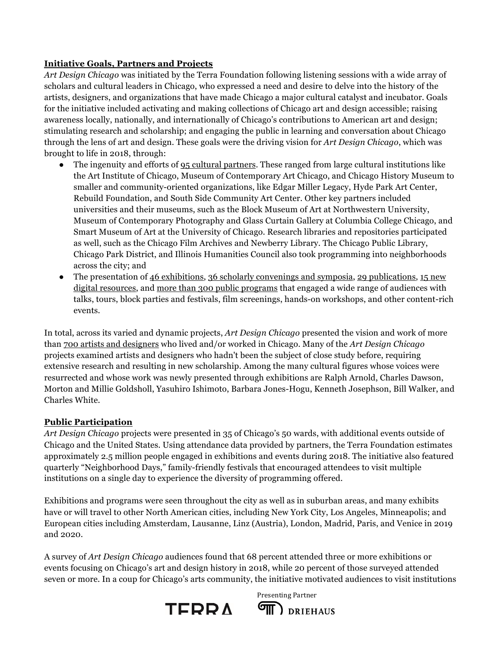### **Initiative Goals, Partners and Projects**

*Art Design Chicago* was initiated by the Terra Foundation following listening sessions with a wide array of scholars and cultural leaders in Chicago, who expressed a need and desire to delve into the history of the artists, designers, and organizations that have made Chicago a major cultural catalyst and incubator. Goals for the initiative included activating and making collections of Chicago art and design accessible; raising awareness locally, nationally, and internationally of Chicago's contributions to American art and design; stimulating research and scholarship; and engaging the public in learning and conversation about Chicago through the lens of art and design. These goals were the driving vision for *Art Design Chicago*, which was brought to life in 2018, through:

- The ingenuity and efforts of 95 cultural partners. These ranged from large cultural institutions like the Art Institute of Chicago, Museum of Contemporary Art Chicago, and Chicago History Museum to smaller and community-oriented organizations, like Edgar Miller Legacy, Hyde Park Art Center, Rebuild Foundation, and South Side Community Art Center. Other key partners included universities and their museums, such as the Block Museum of Art at Northwestern University, Museum of Contemporary Photography and Glass Curtain Gallery at Columbia College Chicago, and Smart Museum of Art at the University of Chicago. Research libraries and repositories participated as well, such as the Chicago Film Archives and Newberry Library. The Chicago Public Library, Chicago Park District, and Illinois Humanities Council also took programming into neighborhoods across the city; and
- The presentation of  $46$  exhibitions, 36 scholarly convenings and symposia, 29 publications, 15 new digital resources, and more than 300 public programs that engaged a wide range of audiences with talks, tours, block parties and festivals, film screenings, hands-on workshops, and other content-rich events.

In total, across its varied and dynamic projects, *Art Design Chicago* presented the vision and work of more than 700 artists and designers who lived and/or worked in Chicago. Many of the *Art Design Chicago* projects examined artists and designers who hadn't been the subject of close study before, requiring extensive research and resulting in new scholarship. Among the many cultural figures whose voices were resurrected and whose work was newly presented through exhibitions are Ralph Arnold, Charles Dawson, Morton and Millie Goldsholl, Yasuhiro Ishimoto, Barbara Jones-Hogu, Kenneth Josephson, Bill Walker, and Charles White.

## **Public Participation**

*Art Design Chicago* projects were presented in 35 of Chicago's 50 wards, with additional events outside of Chicago and the United States. Using attendance data provided by partners, the Terra Foundation estimates approximately 2.5 million people engaged in exhibitions and events during 2018. The initiative also featured quarterly "Neighborhood Days," family-friendly festivals that encouraged attendees to visit multiple institutions on a single day to experience the diversity of programming offered.

Exhibitions and programs were seen throughout the city as well as in suburban areas, and many exhibits have or will travel to other North American cities, including New York City, Los Angeles, Minneapolis; and European cities including Amsterdam, Lausanne, Linz (Austria), London, Madrid, Paris, and Venice in 2019 and 2020.

A survey of *Art Design Chicago* audiences found that 68 percent attended three or more exhibitions or events focusing on Chicago's art and design history in 2018, while 20 percent of those surveyed attended seven or more. In a coup for Chicago's arts community, the initiative motivated audiences to visit institutions



Presenting Partner **TID** DRIEHAUS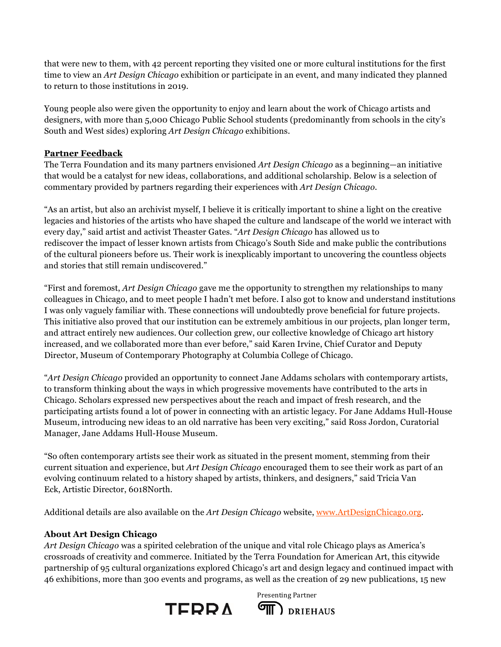that were new to them, with 42 percent reporting they visited one or more cultural institutions for the first time to view an *Art Design Chicago* exhibition or participate in an event, and many indicated they planned to return to those institutions in 2019.

Young people also were given the opportunity to enjoy and learn about the work of Chicago artists and designers, with more than 5,000 Chicago Public School students (predominantly from schools in the city's South and West sides) exploring *Art Design Chicago* exhibitions.

### **Partner Feedback**

The Terra Foundation and its many partners envisioned *Art Design Chicago* as a beginning—an initiative that would be a catalyst for new ideas, collaborations, and additional scholarship. Below is a selection of commentary provided by partners regarding their experiences with *Art Design Chicago*.

"As an artist, but also an archivist myself, I believe it is critically important to shine a light on the creative legacies and histories of the artists who have shaped the culture and landscape of the world we interact with every day," said artist and activist Theaster Gates. "*Art Design Chicago* has allowed us to rediscover the impact of lesser known artists from Chicago's South Side and make public the contributions of the cultural pioneers before us. Their work is inexplicably important to uncovering the countless objects and stories that still remain undiscovered."

"First and foremost, *Art Design Chicago* gave me the opportunity to strengthen my relationships to many colleagues in Chicago, and to meet people I hadn't met before. I also got to know and understand institutions I was only vaguely familiar with. These connections will undoubtedly prove beneficial for future projects. This initiative also proved that our institution can be extremely ambitious in our projects, plan longer term, and attract entirely new audiences. Our collection grew, our collective knowledge of Chicago art history increased, and we collaborated more than ever before," said Karen Irvine, Chief Curator and Deputy Director, Museum of Contemporary Photography at Columbia College of Chicago.

"*Art Design Chicago* provided an opportunity to connect Jane Addams scholars with contemporary artists, to transform thinking about the ways in which progressive movements have contributed to the arts in Chicago. Scholars expressed new perspectives about the reach and impact of fresh research, and the participating artists found a lot of power in connecting with an artistic legacy. For Jane Addams Hull-House Museum, introducing new ideas to an old narrative has been very exciting," said Ross Jordon, Curatorial Manager, Jane Addams Hull-House Museum.

"So often contemporary artists see their work as situated in the present moment, stemming from their current situation and experience, but *Art Design Chicago* encouraged them to see their work as part of an evolving continuum related to a history shaped by artists, thinkers, and designers," said Tricia Van Eck, Artistic Director, 6018North.

Additional details are also available on the *Art Design Chicago* website, www.ArtDesignChicago.org.

## **About Art Design Chicago**

*Art Design Chicago* was a spirited celebration of the unique and vital role Chicago plays as America's crossroads of creativity and commerce. Initiated by the Terra Foundation for American Art, this citywide partnership of 95 cultural organizations explored Chicago's art and design legacy and continued impact with 46 exhibitions, more than 300 events and programs, as well as the creation of 29 new publications, 15 new



Presenting Partner